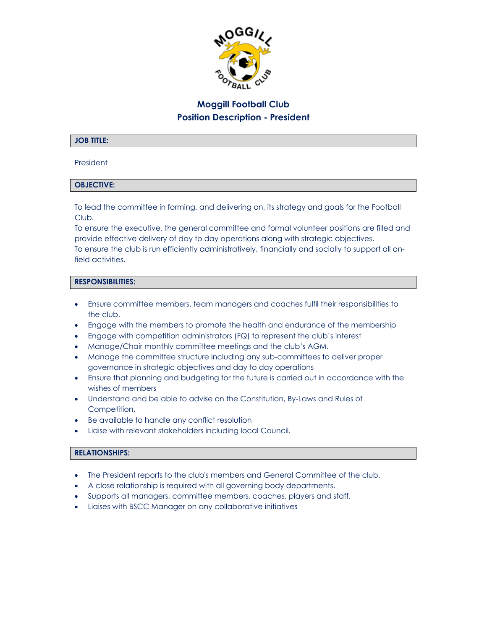

# **Moggill Football Club Position Description - President**

#### **JOB TITLE:**

#### President

## **OBJECTIVE:**

To lead the committee in forming, and delivering on, its strategy and goals for the Football Club.

To ensure the executive, the general committee and formal volunteer positions are filled and provide effective delivery of day to day operations along with strategic objectives. To ensure the club is run efficiently administratively, financially and socially to support all onfield activities.

#### **RESPONSIBILITIES:**

- Ensure committee members, team managers and coaches fulfil their responsibilities to the club.
- Engage with the members to promote the health and endurance of the membership
- Engage with competition administrators (FQ) to represent the club's interest
- Manage/Chair monthly committee meetings and the club's AGM.
- Manage the committee structure including any sub-committees to deliver proper governance in strategic objectives and day to day operations
- Ensure that planning and budgeting for the future is carried out in accordance with the wishes of members
- Understand and be able to advise on the Constitution, By-Laws and Rules of Competition.
- Be available to handle any conflict resolution
- Liaise with relevant stakeholders including local Council.

## **RELATIONSHIPS:**

- The President reports to the club's members and General Committee of the club.
- A close relationship is required with all governing body departments.
- Supports all managers, committee members, coaches, players and staff.
- Liaises with BSCC Manager on any collaborative initiatives